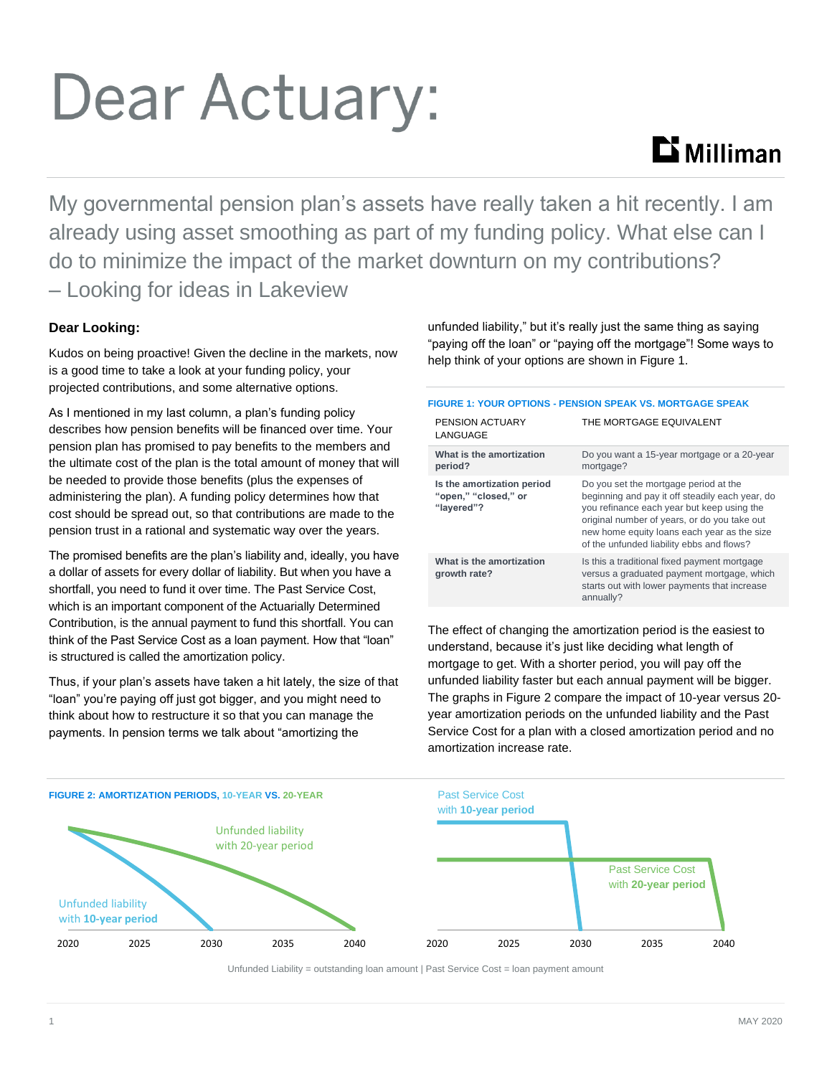# Dear Actuary:

## **Li** Milliman

My governmental pension plan's assets have really taken a hit recently. I am already using asset smoothing as part of my funding policy. What else can I do to minimize the impact of the market downturn on my contributions? – Looking for ideas in Lakeview

### **Dear Looking:**

Kudos on being proactive! Given the decline in the markets, now is a good time to take a look at your funding policy, your projected contributions, and some alternative options.

As I mentioned in my last column, a plan's funding policy describes how pension benefits will be financed over time. Your pension plan has promised to pay benefits to the members and the ultimate cost of the plan is the total amount of money that will be needed to provide those benefits (plus the expenses of administering the plan). A funding policy determines how that cost should be spread out, so that contributions are made to the pension trust in a rational and systematic way over the years.

The promised benefits are the plan's liability and, ideally, you have a dollar of assets for every dollar of liability. But when you have a shortfall, you need to fund it over time. The Past Service Cost, which is an important component of the Actuarially Determined Contribution, is the annual payment to fund this shortfall. You can think of the Past Service Cost as a loan payment. How that "loan" is structured is called the amortization policy.

Thus, if your plan's assets have taken a hit lately, the size of that "loan" you're paying off just got bigger, and you might need to think about how to restructure it so that you can manage the payments. In pension terms we talk about "amortizing the

unfunded liability," but it's really just the same thing as saying "paying off the loan" or "paying off the mortgage"! Some ways to help think of your options are shown in Figure 1.

#### **FIGURE 1: YOUR OPTIONS - PENSION SPEAK VS. MORTGAGE SPEAK**

| THE MORTGAGE EQUIVALENT                                                                                                                                                                                                                                                            |
|------------------------------------------------------------------------------------------------------------------------------------------------------------------------------------------------------------------------------------------------------------------------------------|
| Do you want a 15-year mortgage or a 20-year<br>mortgage?                                                                                                                                                                                                                           |
| Do you set the mortgage period at the<br>beginning and pay it off steadily each year, do<br>you refinance each year but keep using the<br>original number of years, or do you take out<br>new home equity loans each year as the size<br>of the unfunded liability ebbs and flows? |
| Is this a traditional fixed payment mortgage<br>versus a graduated payment mortgage, which<br>starts out with lower payments that increase<br>annually?                                                                                                                            |
|                                                                                                                                                                                                                                                                                    |

The effect of changing the amortization period is the easiest to understand, because it's just like deciding what length of mortgage to get. With a shorter period, you will pay off the unfunded liability faster but each annual payment will be bigger. The graphs in Figure 2 compare the impact of 10-year versus 20 year amortization periods on the unfunded liability and the Past Service Cost for a plan with a closed amortization period and no amortization increase rate.



Unfunded Liability = outstanding loan amount | Past Service Cost = loan payment amount